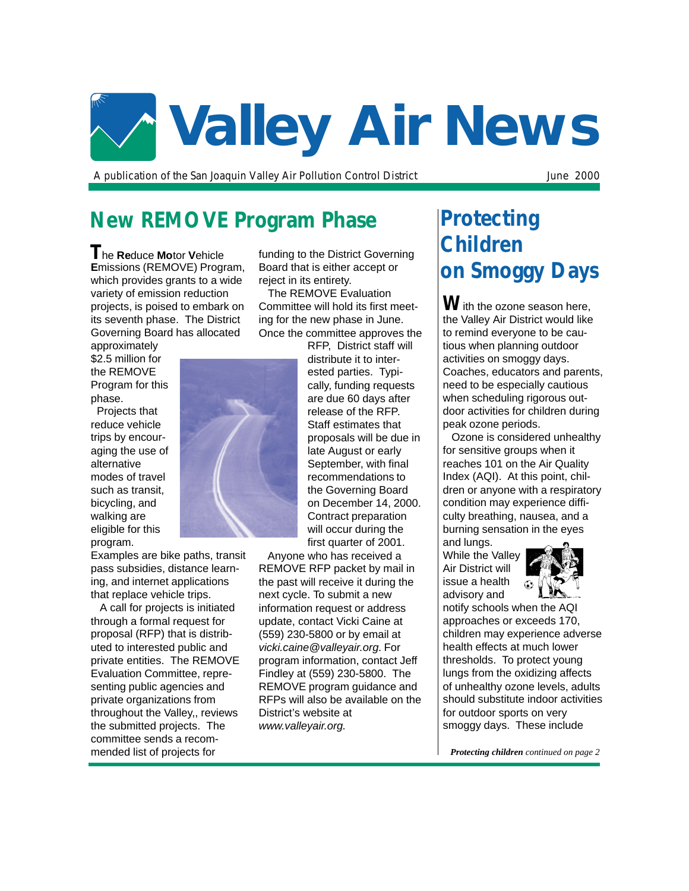

A publication of the San Joaquin Valley Air Pollution Control District Tune 2000

# **New REMOVE Program Phase**

**T**he **Re**duce **Mo**tor **V**ehicle **E**missions (REMOVE) Program, which provides grants to a wide variety of emission reduction projects, is poised to embark on its seventh phase. The District Governing Board has allocated

approximately \$2.5 million for the REMOVE Program for this phase.

 Projects that reduce vehicle trips by encouraging the use of alternative modes of travel such as transit, bicycling, and walking are eligible for this program.

Examples are bike paths, transit pass subsidies, distance learning, and internet applications that replace vehicle trips.

 A call for projects is initiated through a formal request for proposal (RFP) that is distributed to interested public and private entities. The REMOVE Evaluation Committee, representing public agencies and private organizations from throughout the Valley,, reviews the submitted projects. The committee sends a recommended list of projects for

funding to the District Governing Board that is either accept or reject in its entirety.

 The REMOVE Evaluation Committee will hold its first meeting for the new phase in June. Once the committee approves the

RFP, District staff will distribute it to interested parties. Typically, funding requests are due 60 days after release of the RFP. Staff estimates that proposals will be due in late August or early September, with final recommendations to the Governing Board on December 14, 2000. Contract preparation will occur during the first quarter of 2001.

 Anyone who has received a REMOVE RFP packet by mail in the past will receive it during the next cycle. To submit a new information request or address update, contact Vicki Caine at (559) 230-5800 or by email at vicki.caine@valleyair.org. For program information, contact Jeff Findley at (559) 230-5800. The REMOVE program guidance and RFPs will also be available on the District's website at www.valleyair.org.

# **Protecting Children on Smoggy Days**

**W**ith the ozone season here, the Valley Air District would like to remind everyone to be cautious when planning outdoor activities on smoggy days. Coaches, educators and parents, need to be especially cautious when scheduling rigorous outdoor activities for children during peak ozone periods.

 Ozone is considered unhealthy for sensitive groups when it reaches 101 on the Air Quality Index (AQI). At this point, children or anyone with a respiratory condition may experience difficulty breathing, nausea, and a burning sensation in the eyes and lungs.

While the Valley Air District will issue a health advisory and



notify schools when the AQI approaches or exceeds 170, children may experience adverse health effects at much lower thresholds. To protect young lungs from the oxidizing affects of unhealthy ozone levels, adults should substitute indoor activities for outdoor sports on very smoggy days. These include

*Protecting children continued on page 2*

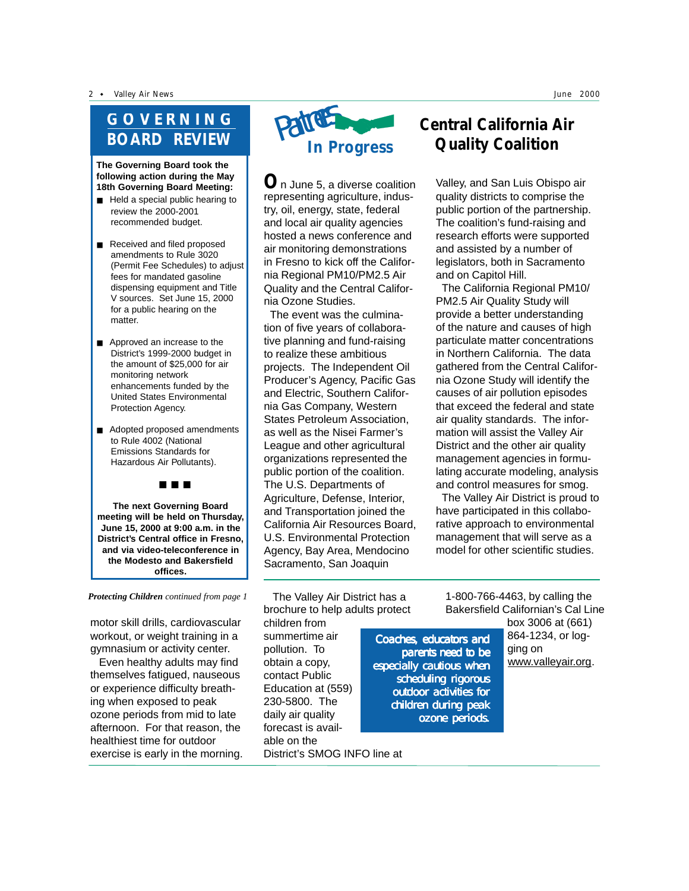2 • Valley Air News June 2000

# **GOVERNING BOARD REVIEW**

**The Governing Board took the following action during the May 18th Governing Board Meeting:**

- Held a special public hearing to review the 2000-2001 recommended budget.
- Received and filed proposed amendments to Rule 3020 (Permit Fee Schedules) to adjust fees for mandated gasoline dispensing equipment and Title V sources. Set June 15, 2000 for a public hearing on the matter.
- Approved an increase to the District's 1999-2000 budget in the amount of \$25,000 for air monitoring network enhancements funded by the United States Environmental Protection Agency.
- Adopted proposed amendments to Rule 4002 (National Emissions Standards for Hazardous Air Pollutants).

■ ■ ■

**The next Governing Board meeting will be held on Thursday, June 15, 2000 at 9:00 a.m. in the District's Central office in Fresno, and via video-teleconference in the Modesto and Bakersfield offices.**

*Protecting Children continued from page 1*

motor skill drills, cardiovascular workout, or weight training in a gymnasium or activity center.

 Even healthy adults may find themselves fatigued, nauseous or experience difficulty breathing when exposed to peak ozone periods from mid to late afternoon. For that reason, the healthiest time for outdoor exercise is early in the morning.



**O**n June 5, a diverse coalition representing agriculture, industry, oil, energy, state, federal and local air quality agencies hosted a news conference and air monitoring demonstrations in Fresno to kick off the California Regional PM10/PM2.5 Air Quality and the Central California Ozone Studies.

 The event was the culmination of five years of collaborative planning and fund-raising to realize these ambitious projects. The Independent Oil Producer's Agency, Pacific Gas and Electric, Southern California Gas Company, Western States Petroleum Association, as well as the Nisei Farmer's League and other agricultural organizations represented the public portion of the coalition. The U.S. Departments of Agriculture, Defense, Interior, and Transportation joined the California Air Resources Board, U.S. Environmental Protection Agency, Bay Area, Mendocino Sacramento, San Joaquin

# **Central California Air Quality Coalition**

Valley, and San Luis Obispo air quality districts to comprise the public portion of the partnership. The coalition's fund-raising and research efforts were supported and assisted by a number of legislators, both in Sacramento and on Capitol Hill.

 The California Regional PM10/ PM2.5 Air Quality Study will provide a better understanding of the nature and causes of high particulate matter concentrations in Northern California. The data gathered from the Central California Ozone Study will identify the causes of air pollution episodes that exceed the federal and state air quality standards. The information will assist the Valley Air District and the other air quality management agencies in formulating accurate modeling, analysis and control measures for smog.

 The Valley Air District is proud to have participated in this collaborative approach to environmental management that will serve as a model for other scientific studies.

 The Valley Air District has a brochure to help adults protect

children from summertime air pollution. To obtain a copy, contact Public Education at (559) 230-5800. The daily air quality forecast is available on the District's SMOG INFO line at

Coaches, educators and parents need to be especially cautious when scheduling rigorous outdoor activities for children during peak ozone periods.

1-800-766-4463, by calling the Bakersfield Californian's Cal Line

> 864-1234, or logging on www.valleyair.org.

box 3006 at (661)